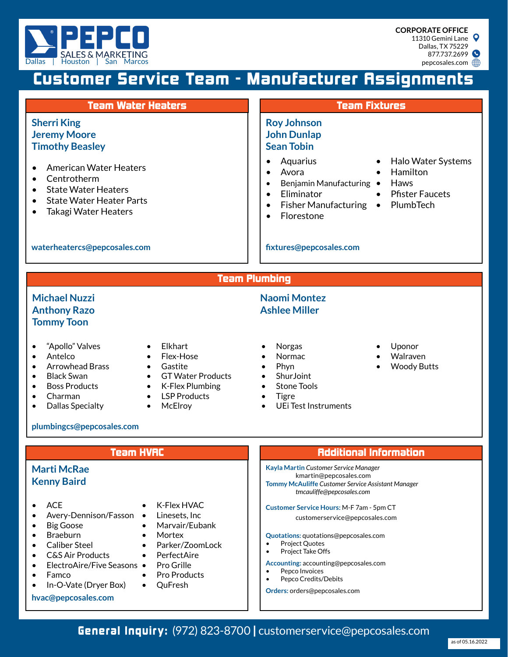



# Customer Service Team - Manufacturer Assignments

Team Water Heaters Team Fixtures Team Plumbing Team HVAC Additional Information **Sherri King Jeremy Moore Timothy Beasley** • American Water Heaters • Centrotherm • State Water Heaters • State Water Heater Parts • Takagi Water Heaters **Roy Johnson John Dunlap Sean Tobin**  • Aquarius • Avora • Benjamin Manufacturing • Haws • Eliminator • Fisher Manufacturing • PlumbTech • Florestone • Halo Water Systems • Hamilton **Pfister Faucets fixtures@pepcosales.com plumbingcs@pepcosales.com Marti McRae Kenny Baird** • ACE • Avery-Dennison/Fasson • • Big Goose • Braeburn **K-Flex HVAC** • Linesets, Inc • Marvair/Eubank **Kayla Martin** *Customer Service Manager* kmartin@pepcosales.com **Tommy McAuliffe** *Customer Service Assistant Manager tmcauliffe@pepcosales.com* **Customer Service Hours:** M-F 7am - 5pm CT customerservice@pepcosales.com **waterheatercs@pepcosales.com** • "Apollo" Valves **Antelco** • Arrowhead Brass • Black Swan • Boss Products • Charman • Dallas Specialty • Elkhart • Flex-Hose • Gastite • GT Water Products • K-Flex Plumbing • LSP Products • McElroy • Norgas • Normac • Phyn ShurJoint • Stone Tools • Tigre • UEi Test Instruments • Uponor • Walraven • Woody Butts **Michael Nuzzi Anthony Razo Tommy Toon Naomi Montez Ashlee Miller**

- -
- C&S Air Products

• Caliber Steel

- ElectroAire/Five Seasons Pro Grille
- Famco
- In-O-Vate (Dryer Box)

**hvac@pepcosales.com**

- 
- Mortex
- Parker/ZoomLock
- PerfectAire
	-
	- Pro Products
- QuFresh
- **Quotations:** quotations@pepcosales.com
- Project Quotes
- 
- **Accounting:** accounting@pepcosales.com
- Pepco Invoices
- Pepco Credits/Debits

**Orders:** orders@pepcosales.com

General Inquiry: (972) 823-8700 | customerservice@pepcosales.com

#### as of 05.16.2022

Project Take Offs